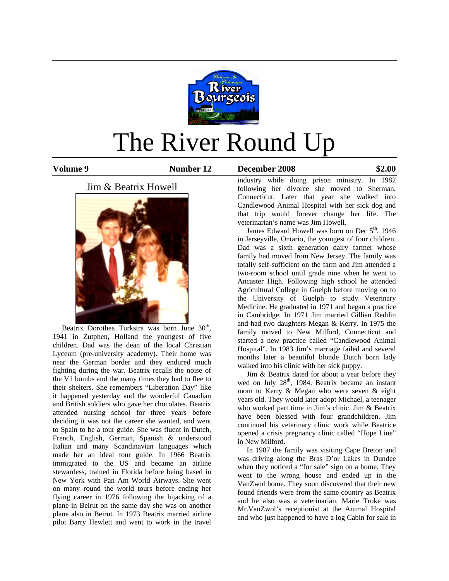

# The River Round Up

#### **Volume 9 Number 12 December 2008 \$2.00**

# Jim & Beatrix Howell



Beatrix Dorothea Turkstra was born June  $30<sup>th</sup>$ , 1941 in Zutphen, Holland the youngest of five children. Dad was the dean of the local Christian Lyceum (pre-university academy). Their home was near the German border and they endured much fighting during the war. Beatrix recalls the noise of the V1 bombs and the many times they had to flee to their shelters. She remembers "Liberation Day" like it happened yesterday and the wonderful Canadian and British soldiers who gave her chocolates. Beatrix attended nursing school for three years before deciding it was not the career she wanted, and went to Spain to be a tour guide. She was fluent in Dutch, French, English, German, Spanish & understood Italian and many Scandinavian languages which made her an ideal tour guide. In 1966 Beatrix immigrated to the US and became an airline stewardess, trained in Florida before being based in New York with Pan Am World Airways. She went on many round the world tours before ending her flying career in 1976 following the hijacking of a plane in Beirut on the same day she was on another plane also in Beirut. In 1973 Beatrix married airline pilot Barry Hewlett and went to work in the travel

industry while doing prison ministry. In 1982 following her divorce she moved to Sherman, Connecticut. Later that year she walked into Candlewood Animal Hospital with her sick dog and that trip would forever change her life. The veterinarian's name was Jim Howell.

James Edward Howell was born on Dec  $5<sup>th</sup>$ , 1946 in Jerseyville, Ontario, the youngest of four children. Dad was a sixth generation dairy farmer whose family had moved from New Jersey. The family was totally self-sufficient on the farm and Jim attended a two-room school until grade nine when he went to Ancaster High. Following high school he attended Agricultural College in Guelph before moving on to the University of Guelph to study Veterinary Medicine. He graduated in 1971 and began a practice in Cambridge. In 1971 Jim married Gillian Reddin and had two daughters Megan & Kerry. In 1975 the family moved to New Milford, Connecticut and started a new practice called "Candlewood Animal Hospital". In 1983 Jim's marriage failed and several months later a beautiful blonde Dutch born lady walked into his clinic with her sick puppy.

 Jim & Beatrix dated for about a year before they wed on July 28<sup>th</sup>, 1984. Beatrix became an instant mom to Kerry & Megan who were seven & eight years old. They would later adopt Michael, a teenager who worked part time in Jim's clinic. Jim & Beatrix have been blessed with four grandchildren. Jim continued his veterinary clinic work while Beatrice opened a crisis pregnancy clinic called "Hope Line" in New Milford.

 In 1987 the family was visiting Cape Breton and was driving along the Bras D'or Lakes in Dundee when they noticed a "for sale" sign on a home. They went to the wrong house and ended up in the VanZwol home. They soon discovered that their new found friends were from the same country as Beatrix and he also was a veterinarian. Marie Troke was Mr.VanZwol's receptionist at the Animal Hospital and who just happened to have a log Cabin for sale in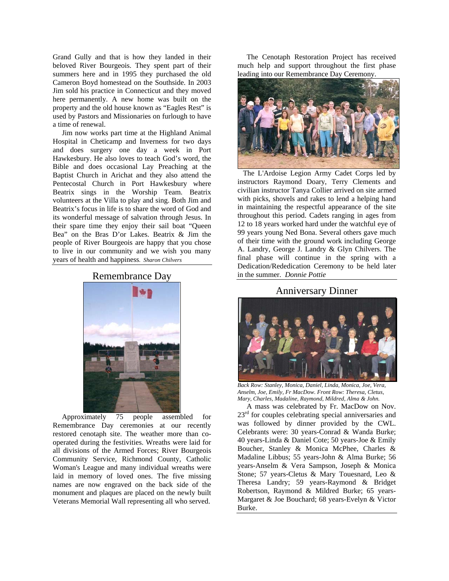Grand Gully and that is how they landed in their beloved River Bourgeois. They spent part of their summers here and in 1995 they purchased the old Cameron Boyd homestead on the Southside. In 2003 Jim sold his practice in Connecticut and they moved here permanently. A new home was built on the property and the old house known as "Eagles Rest" is used by Pastors and Missionaries on furlough to have a time of renewal.

 Jim now works part time at the Highland Animal Hospital in Cheticamp and Inverness for two days and does surgery one day a week in Port Hawkesbury. He also loves to teach God's word, the Bible and does occasional Lay Preaching at the Baptist Church in Arichat and they also attend the Pentecostal Church in Port Hawkesbury where Beatrix sings in the Worship Team. Beatrix volunteers at the Villa to play and sing. Both Jim and Beatrix's focus in life is to share the word of God and its wonderful message of salvation through Jesus. In their spare time they enjoy their sail boat "Queen Bea" on the Bras D'or Lakes. Beatrix & Jim the people of River Bourgeois are happy that you chose to live in our community and we wish you many years of health and happiness*. Sharon Chilvers* 

#### Remembrance Day



 Approximately 75 people assembled for Remembrance Day ceremonies at our recently restored cenotaph site. The weather more than cooperated during the festivities. Wreaths were laid for all divisions of the Armed Forces; River Bourgeois Community Service, Richmond County, Catholic Woman's League and many individual wreaths were laid in memory of loved ones. The five missing names are now engraved on the back side of the monument and plaques are placed on the newly built Veterans Memorial Wall representing all who served.

 The Cenotaph Restoration Project has received much help and support throughout the first phase leading into our Remembrance Day Ceremony.



 The L'Ardoise Legion Army Cadet Corps led by instructors Raymond Doary, Terry Clements and civilian instructor Tanya Collier arrived on site armed with picks, shovels and rakes to lend a helping hand in maintaining the respectful appearance of the site throughout this period. Cadets ranging in ages from 12 to 18 years worked hard under the watchful eye of 99 years young Ned Bona. Several others gave much of their time with the ground work including George A. Landry, George J. Landry & Glyn Chilvers. The final phase will continue in the spring with a Dedication/Rededication Ceremony to be held later in the summer. *Donnie Pottie*

## Anniversary Dinner



*Back Row: Stanley, Monica, Daniel, Linda, Monica, Joe, Vera, Anselm, Joe, Emily, Fr MacDow. Front Row: Theresa, Cletus, Mary, Charles, Madaline, Raymond, Mildred, Alma & John.* 

 A mass was celebrated by Fr. MacDow on Nov.  $23<sup>rd</sup>$  for couples celebrating special anniversaries and was followed by dinner provided by the CWL. Celebrants were: 30 years-Conrad & Wanda Burke; 40 years-Linda & Daniel Cote; 50 years-Joe & Emily Boucher, Stanley & Monica McPhee, Charles & Madaline Libbus; 55 years-John & Alma Burke; 56 years-Anselm & Vera Sampson, Joseph & Monica Stone; 57 years-Cletus & Mary Touesnard, Leo & Theresa Landry; 59 years-Raymond & Bridget Robertson, Raymond & Mildred Burke; 65 years-Margaret & Joe Bouchard; 68 years-Evelyn & Victor Burke.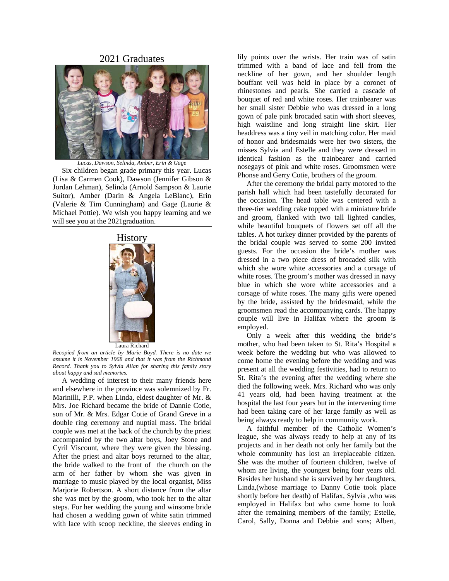#### 2021 Graduates



*Lucas, Dawson, Selinda, Amber, Erin & Gage* 

 Six children began grade primary this year. Lucas (Lisa & Carmen Cook), Dawson (Jennifer Gibson & Jordan Lehman), Selinda (Arnold Sampson & Laurie Suitor), Amber (Darin & Angela LeBlanc), Erin (Valerie & Tim Cunningham) and Gage (Laurie & Michael Pottie). We wish you happy learning and we will see you at the 2021graduation.



*Recopied from an article by Marie Boyd. There is no date we assume it is November 1968 and that it was from the Richmond Record. Thank you to Sylvia Allan for sharing this family story about happy and sad memories.*

 A wedding of interest to their many friends here and elsewhere in the province was solemnized by Fr. Marinilli, P.P. when Linda, eldest daughter of Mr. & Mrs. Joe Richard became the bride of Dannie Cotie, son of Mr. & Mrs. Edgar Cotie of Grand Greve in a double ring ceremony and nuptial mass. The bridal couple was met at the back of the church by the priest accompanied by the two altar boys, Joey Stone and Cyril Viscount, where they were given the blessing. After the priest and altar boys returned to the altar, the bride walked to the front of the church on the arm of her father by whom she was given in marriage to music played by the local organist, Miss Marjorie Robertson. A short distance from the altar she was met by the groom, who took her to the altar steps. For her wedding the young and winsome bride had chosen a wedding gown of white satin trimmed with lace with scoop neckline, the sleeves ending in

lily points over the wrists. Her train was of satin trimmed with a band of lace and fell from the neckline of her gown, and her shoulder length bouffant veil was held in place by a coronet of rhinestones and pearls. She carried a cascade of bouquet of red and white roses. Her trainbearer was her small sister Debbie who was dressed in a long gown of pale pink brocaded satin with short sleeves, high waistline and long straight line skirt. Her headdress was a tiny veil in matching color. Her maid of honor and bridesmaids were her two sisters, the misses Sylvia and Estelle and they were dressed in identical fashion as the trainbearer and carried nosegays of pink and white roses. Groomsmen were Phonse and Gerry Cotie, brothers of the groom.

 After the ceremony the bridal party motored to the parish hall which had been tastefully decorated for the occasion. The head table was centered with a three-tier wedding cake topped with a miniature bride and groom, flanked with two tall lighted candles, while beautiful bouquets of flowers set off all the tables. A hot turkey dinner provided by the parents of the bridal couple was served to some 200 invited guests. For the occasion the bride's mother was dressed in a two piece dress of brocaded silk with which she wore white accessories and a corsage of white roses. The groom's mother was dressed in navy blue in which she wore white accessories and a corsage of white roses. The many gifts were opened by the bride, assisted by the bridesmaid, while the groomsmen read the accompanying cards. The happy couple will live in Halifax where the groom is employed.

 Only a week after this wedding the bride's mother, who had been taken to St. Rita's Hospital a week before the wedding but who was allowed to come home the evening before the wedding and was present at all the wedding festivities, had to return to St. Rita's the evening after the wedding where she died the following week. Mrs. Richard who was only 41 years old, had been having treatment at the hospital the last four years but in the intervening time had been taking care of her large family as well as being always ready to help in community work.

 A faithful member of the Catholic Women's league, she was always ready to help at any of its projects and in her death not only her family but the whole community has lost an irreplaceable citizen. She was the mother of fourteen children, twelve of whom are living, the youngest being four years old. Besides her husband she is survived by her daughters, Linda,(whose marriage to Danny Cotie took place shortly before her death) of Halifax, Sylvia ,who was employed in Halifax but who came home to look after the remaining members of the family; Estelle, Carol, Sally, Donna and Debbie and sons; Albert,